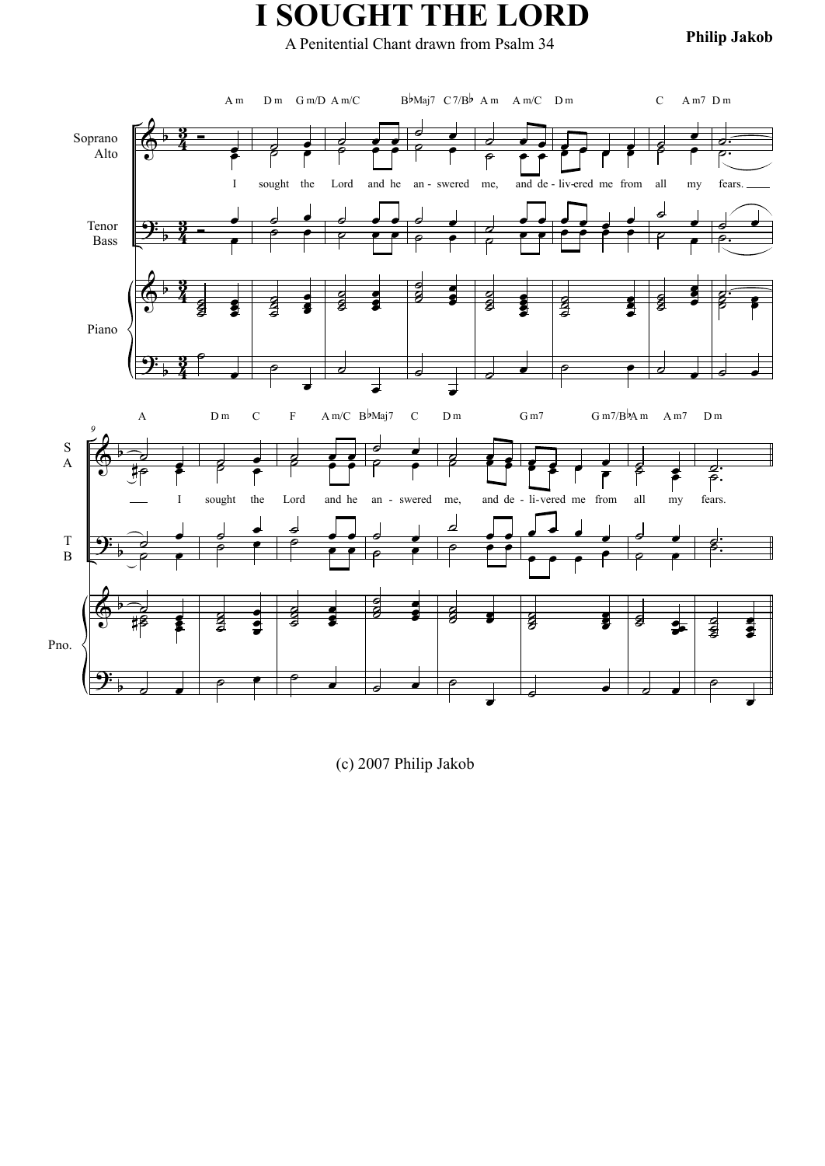## **I SOUGHT THE LORD**

**Philip Jakob** A Penitential Chant drawn from Psalm 34



(c) 2007 Philip Jakob